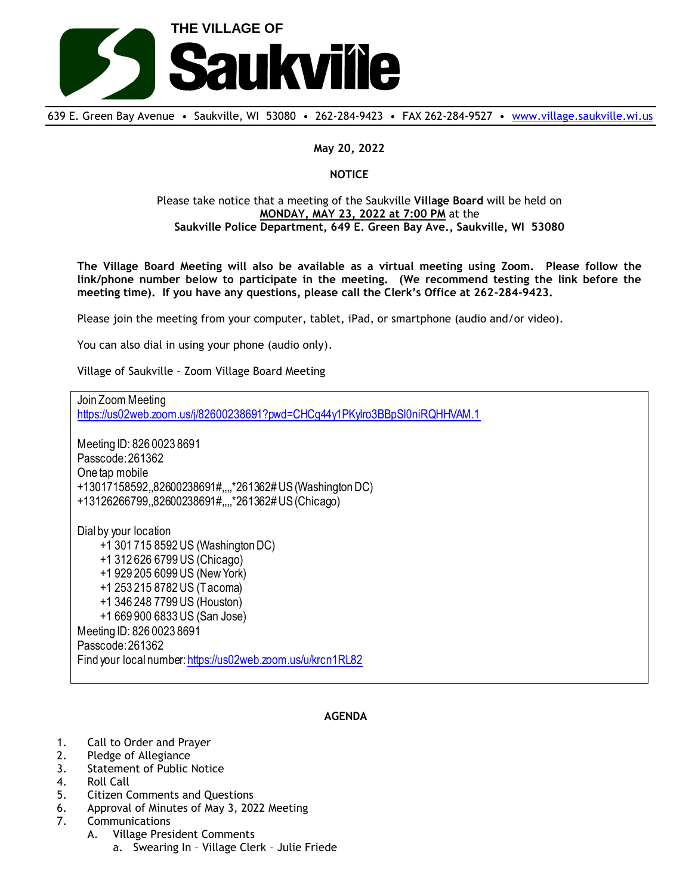

639 E. Green Bay Avenue • Saukville, WI 53080 • 262-284-9423 • FAX 262-284-9527 • [www.village.saukville.wi.us](http://www.village.saukville.wi.us/)

## **May 20, 2022**

## **NOTICE**

## Please take notice that a meeting of the Saukville **Village Board** will be held on **MONDAY, MAY 23, 2022 at 7:00 PM** at the **Saukville Police Department, 649 E. Green Bay Ave., Saukville, WI 53080**

**The Village Board Meeting will also be available as a virtual meeting using Zoom. Please follow the link/phone number below to participate in the meeting. (We recommend testing the link before the meeting time). If you have any questions, please call the Clerk's Office at 262-284-9423.**

Please join the meeting from your computer, tablet, iPad, or smartphone (audio and/or video).

You can also dial in using your phone (audio only).

Village of Saukville – Zoom Village Board Meeting

Join Zoom Meeting https://us02web.zoom.us/j/82600238691?pwd=CHCg44y1PKyIro3BBpSl0niRQHHVAM.1 Meeting ID: 826 0023 8691 Passcode: 261362 One tap mobile +13017158592,,82600238691#,,,,\*261362# US (Washington DC) +13126266799,,82600238691#,,,,\*261362# US (Chicago) Dial by your location +1 301 715 8592 US (Washington DC) +1 312 626 6799 US (Chicago) +1 929 205 6099 US (New York) +1 253 215 8782 US (Tacoma) +1 346 248 7799 US (Houston) +1 669 900 6833 US (San Jose) Meeting ID: 826 0023 8691 Passcode: 261362 Find your local number: https://us02web.zoom.us/u/krcn1RL82

## **AGENDA**

- 1. Call to Order and Prayer
- 2. Pledge of Allegiance
- 3. Statement of Public Notice
- 4. Roll Call
- 5. Citizen Comments and Questions
- 6. Approval of Minutes of May 3, 2022 Meeting
- 7. Communications
	- A. Village President Comments
		- a. Swearing In Village Clerk Julie Friede